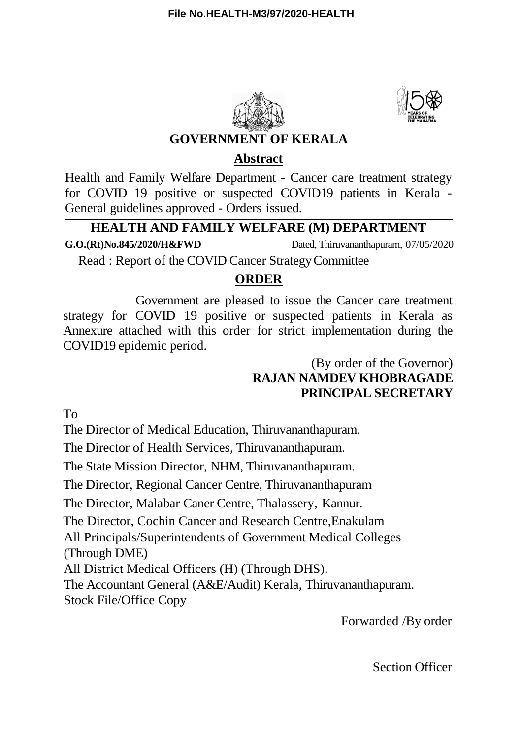



### **GOVERNMENT OF KERALA**

### **Abstract**

Health and Family Welfare Department - Cancer care treatment strategy for COVID 19 positive or suspected COVID19 patients in Kerala - General guidelines approved - Orders issued.

# **HEALTH AND FAMILY WELFARE (M) DEPARTMENT**

**G.O.(Rt)No.845/2020/H&FWD** Dated, Thiruvananthapuram, 07/05/2020

Read : Report of the COVID Cancer StrategyCommittee

### **ORDER**

Government are pleased to issue the Cancer care treatment strategy for COVID 19 positive or suspected patients in Kerala as Annexure attached with this order for strict implementation during the COVID19 epidemic period.

## (By order of the Governor) **RAJAN NAMDEV KHOBRAGADE PRINCIPAL SECRETARY**

To

The Director of Medical Education, Thiruvananthapuram.

The Director of Health Services, Thiruvananthapuram.

The State Mission Director, NHM, Thiruvananthapuram.

The Director, Regional Cancer Centre, Thiruvananthapuram

The Director, Malabar Caner Centre, Thalassery, Kannur.

The Director, Cochin Cancer and Research Centre,Enakulam

All Principals/Superintendents of Government Medical Colleges (Through DME)

All District Medical Officers (H) (Through DHS).

The Accountant General (A&E/Audit) Kerala, Thiruvananthapuram. Stock File/Office Copy

Forwarded /By order

Section Officer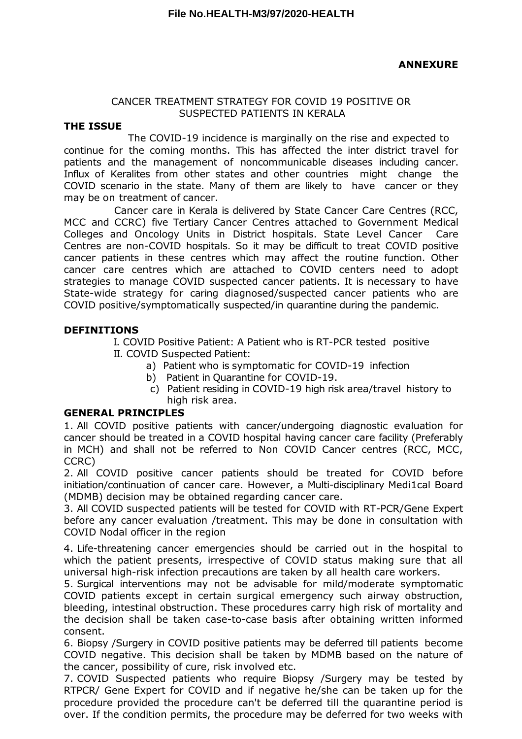#### CANCER TREATMENT STRATEGY FOR COVID 19 POSITIVE OR SUSPECTED PATIENTS IN KERALA

#### **THE ISSUE**

The COVID-19 incidence is marginally on the rise and expected to continue for the coming months. This has affected the inter district travel for patients and the management of noncommunicable diseases including cancer. Influx of Keralites from other states and other countries might change the COVID scenario in the state. Many of them are likely to have cancer or they may be on treatment of cancer.

Cancer care in Kerala is delivered by State Cancer Care Centres (RCC, MCC and CCRC) five Tertiary Cancer Centres attached to Government Medical Colleges and Oncology Units in District hospitals. State Level Cancer Care Centres are non-COVID hospitals. So it may be difficult to treat COVID positive cancer patients in these centres which may affect the routine function. Other cancer care centres which are attached to COVID centers need to adopt strategies to manage COVID suspected cancer patients. It is necessary to have State-wide strategy for caring diagnosed/suspected cancer patients who are COVID positive/symptomatically suspected/in quarantine during the pandemic.

#### **DEFINITIONS**

I. COVID Positive Patient: A Patient who is RT-PCR tested positive II. COVID Suspected Patient:

- a) Patient who is symptomatic for COVID-19 infection
- b) Patient in Quarantine for COVID-19.
- c) Patient residing in COVID-19 high risk area/travel history to high risk area.

#### **GENERAL PRINCIPLES**

1. All COVID positive patients with cancer/undergoing diagnostic evaluation for cancer should be treated in a COVID hospital having cancer care facility (Preferably in MCH) and shall not be referred to Non COVID Cancer centres (RCC, MCC, CCRC)

2. All COVID positive cancer patients should be treated for COVID before initiation/continuation of cancer care. However, a Multi-disciplinary Medi1cal Board (MDMB) decision may be obtained regarding cancer care.

3. All COVID suspected patients will be tested for COVID with RT-PCR/Gene Expert before any cancer evaluation /treatment. This may be done in consultation with COVID Nodal officer in the region

4. Life-threatening cancer emergencies should be carried out in the hospital to which the patient presents, irrespective of COVID status making sure that all universal high-risk infection precautions are taken by all health care workers.

5. Surgical interventions may not be advisable for mild/moderate symptomatic COVID patients except in certain surgical emergency such airway obstruction, bleeding, intestinal obstruction. These procedures carry high risk of mortality and the decision shall be taken case-to-case basis after obtaining written informed consent.

6. Biopsy /Surgery in COVID positive patients may be deferred till patients become COVID negative. This decision shall be taken by MDMB based on the nature of the cancer, possibility of cure, risk involved etc.

7. COVID Suspected patients who require Biopsy /Surgery may be tested by RTPCR/ Gene Expert for COVID and if negative he/she can be taken up for the procedure provided the procedure can't be deferred till the quarantine period is over. If the condition permits, the procedure may be deferred for two weeks with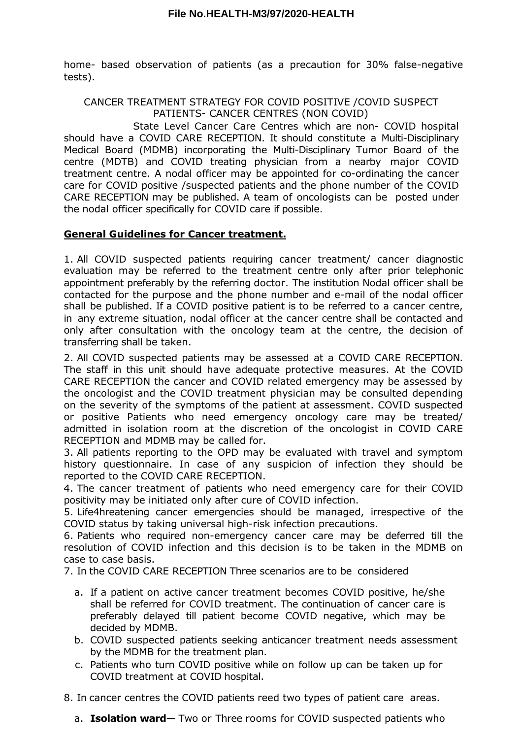home- based observation of patients (as a precaution for 30% false-negative tests).

CANCER TREATMENT STRATEGY FOR COVID POSITIVE /COVID SUSPECT PATIENTS- CANCER CENTRES (NON COVID)

State Level Cancer Care Centres which are non- COVID hospital should have a COVID CARE RECEPTION. It should constitute a Multi-Disciplinary Medical Board (MDMB) incorporating the Multi-Disciplinary Tumor Board of the centre (MDTB) and COVID treating physician from a nearby major COVID treatment centre. A nodal officer may be appointed for co-ordinating the cancer care for COVID positive /suspected patients and the phone number of the COVID CARE RECEPTION may be published. A team of oncologists can be posted under the nodal officer specifically for COVID care if possible.

#### **General Guidelines for Cancer treatment.**

1. All COVID suspected patients requiring cancer treatment/ cancer diagnostic evaluation may be referred to the treatment centre only after prior telephonic appointment preferably by the referring doctor. The institution Nodal officer shall be contacted for the purpose and the phone number and e-mail of the nodal officer shall be published. If a COVID positive patient is to be referred to a cancer centre, in any extreme situation, nodal officer at the cancer centre shall be contacted and only after consultation with the oncology team at the centre, the decision of transferring shall be taken.

2. All COVID suspected patients may be assessed at a COVID CARE RECEPTION. The staff in this unit should have adequate protective measures. At the COVID CARE RECEPTION the cancer and COVID related emergency may be assessed by the oncologist and the COVID treatment physician may be consulted depending on the severity of the symptoms of the patient at assessment. COVID suspected or positive Patients who need emergency oncology care may be treated/ admitted in isolation room at the discretion of the oncologist in COVID CARE RECEPTION and MDMB may be called for.

3. All patients reporting to the OPD may be evaluated with travel and symptom history questionnaire. In case of any suspicion of infection they should be reported to the COVID CARE RECEPTION.

4. The cancer treatment of patients who need emergency care for their COVID positivity may be initiated only after cure of COVID infection.

5. Life4hreatening cancer emergencies should be managed, irrespective of the COVID status by taking universal high-risk infection precautions.

6. Patients who required non-emergency cancer care may be deferred till the resolution of COVID infection and this decision is to be taken in the MDMB on case to case basis.

7. In the COVID CARE RECEPTION Three scenarios are to be considered

- a. If a patient on active cancer treatment becomes COVID positive, he/she shall be referred for COVID treatment. The continuation of cancer care is preferably delayed till patient become COVID negative, which may be decided by MDMB.
- b. COVID suspected patients seeking anticancer treatment needs assessment by the MDMB for the treatment plan.
- c. Patients who turn COVID positive while on follow up can be taken up for COVID treatment at COVID hospital.

8. In cancer centres the COVID patients reed two types of patient care areas.

a. **Isolation ward**— Two or Three rooms for COVID suspected patients who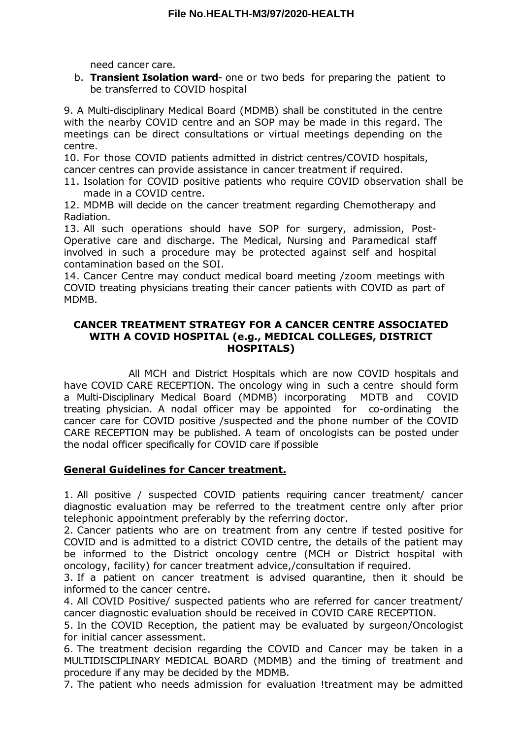need cancer care.

b. **Transient Isolation ward**- one or two beds for preparing the patient to be transferred to COVID hospital

9. A Multi-disciplinary Medical Board (MDMB) shall be constituted in the centre with the nearby COVID centre and an SOP may be made in this regard. The meetings can be direct consultations or virtual meetings depending on the centre.

10. For those COVID patients admitted in district centres/COVID hospitals, cancer centres can provide assistance in cancer treatment if required.

11. Isolation for COVID positive patients who require COVID observation shall be made in a COVID centre.

12. MDMB will decide on the cancer treatment regarding Chemotherapy and Radiation.

13. All such operations should have SOP for surgery, admission, Post-Operative care and discharge. The Medical, Nursing and Paramedical staff involved in such a procedure may be protected against self and hospital contamination based on the SOI.

14. Cancer Centre may conduct medical board meeting /zoom meetings with COVID treating physicians treating their cancer patients with COVID as part of MDMB.

#### **CANCER TREATMENT STRATEGY FOR A CANCER CENTRE ASSOCIATED WITH A COVID HOSPITAL (e.g., MEDICAL COLLEGES, DISTRICT HOSPITALS)**

All MCH and District Hospitals which are now COVID hospitals and have COVID CARE RECEPTION. The oncology wing in such a centre should form a Multi-Disciplinary Medical Board (MDMB) incorporating MDTB and COVID treating physician. A nodal officer may be appointed for co-ordinating the cancer care for COVID positive /suspected and the phone number of the COVID CARE RECEPTION may be published. A team of oncologists can be posted under the nodal officer specifically for COVID care if possible

### **General Guidelines for Cancer treatment.**

1. All positive / suspected COVID patients requiring cancer treatment/ cancer diagnostic evaluation may be referred to the treatment centre only after prior telephonic appointment preferably by the referring doctor.

2. Cancer patients who are on treatment from any centre if tested positive for COVID and is admitted to a district COVID centre, the details of the patient may be informed to the District oncology centre (MCH or District hospital with oncology, facility) for cancer treatment advice,/consultation if required.

3. If a patient on cancer treatment is advised quarantine, then it should be informed to the cancer centre.

4. All COVID Positive/ suspected patients who are referred for cancer treatment/ cancer diagnostic evaluation should be received in COVID CARE RECEPTION.

5. In the COVID Reception, the patient may be evaluated by surgeon/Oncologist for initial cancer assessment.

6. The treatment decision regarding the COVID and Cancer may be taken in a MULTIDISCIPLINARY MEDICAL BOARD (MDMB) and the timing of treatment and procedure if any may be decided by the MDMB.

7. The patient who needs admission for evaluation !treatment may be admitted